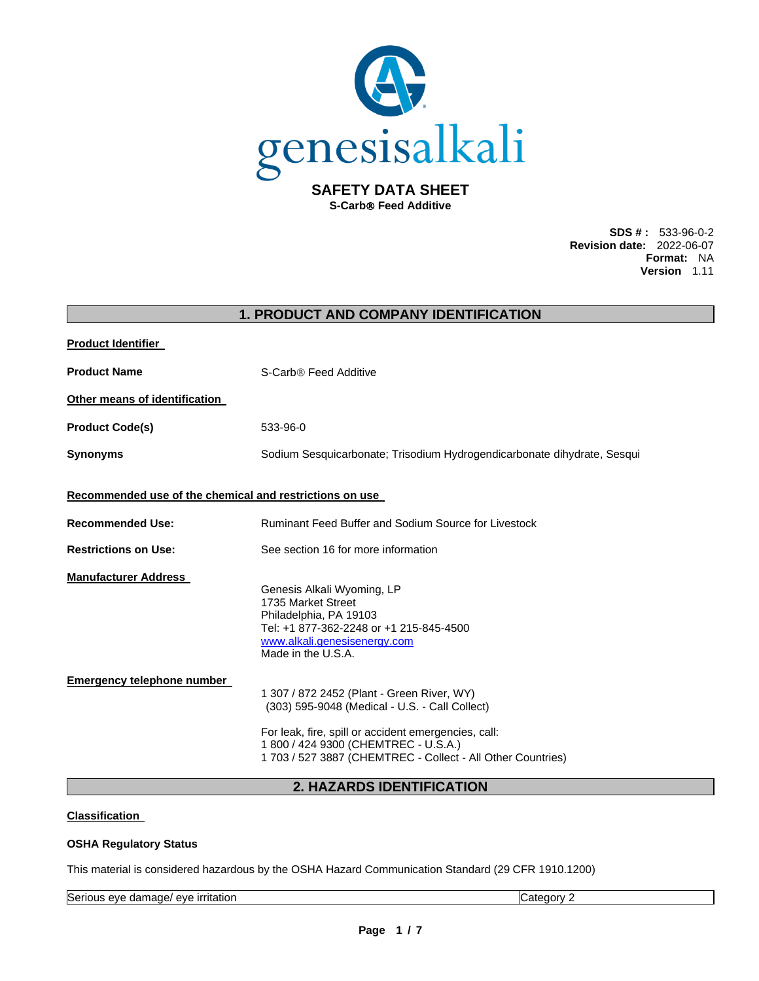

**S-Carb Feed Additive** 

**SDS # :** 533-96-0-2 **Revision date:** 2022-06-07 **Format:** NA **Version** 1.11

|                                                         | <b>1. PRODUCT AND COMPANY IDENTIFICATION</b>                                                                                                                                                                                                                |
|---------------------------------------------------------|-------------------------------------------------------------------------------------------------------------------------------------------------------------------------------------------------------------------------------------------------------------|
| <b>Product Identifier</b>                               |                                                                                                                                                                                                                                                             |
| <b>Product Name</b>                                     | S-Carb® Feed Additive                                                                                                                                                                                                                                       |
| Other means of identification                           |                                                                                                                                                                                                                                                             |
| <b>Product Code(s)</b>                                  | 533-96-0                                                                                                                                                                                                                                                    |
| <b>Synonyms</b>                                         | Sodium Sesquicarbonate; Trisodium Hydrogendicarbonate dihydrate, Sesqui                                                                                                                                                                                     |
| Recommended use of the chemical and restrictions on use |                                                                                                                                                                                                                                                             |
| <b>Recommended Use:</b>                                 | Ruminant Feed Buffer and Sodium Source for Livestock                                                                                                                                                                                                        |
| <b>Restrictions on Use:</b>                             | See section 16 for more information                                                                                                                                                                                                                         |
| <b>Manufacturer Address</b>                             | Genesis Alkali Wyoming, LP<br>1735 Market Street<br>Philadelphia, PA 19103<br>Tel: +1 877-362-2248 or +1 215-845-4500<br>www.alkali.genesisenergy.com<br>Made in the U.S.A.                                                                                 |
| <b>Emergency telephone number</b>                       | 1 307 / 872 2452 (Plant - Green River, WY)<br>(303) 595-9048 (Medical - U.S. - Call Collect)<br>For leak, fire, spill or accident emergencies, call:<br>1 800 / 424 9300 (CHEMTREC - U.S.A.)<br>1 703 / 527 3887 (CHEMTREC - Collect - All Other Countries) |

# **2. HAZARDS IDENTIFICATION**

# **Classification**

# **OSHA Regulatory Status**

This material is considered hazardous by the OSHA Hazard Communication Standard (29 CFR 1910.1200)

Serious eye damage/ eye irritation contract the contract of Category 2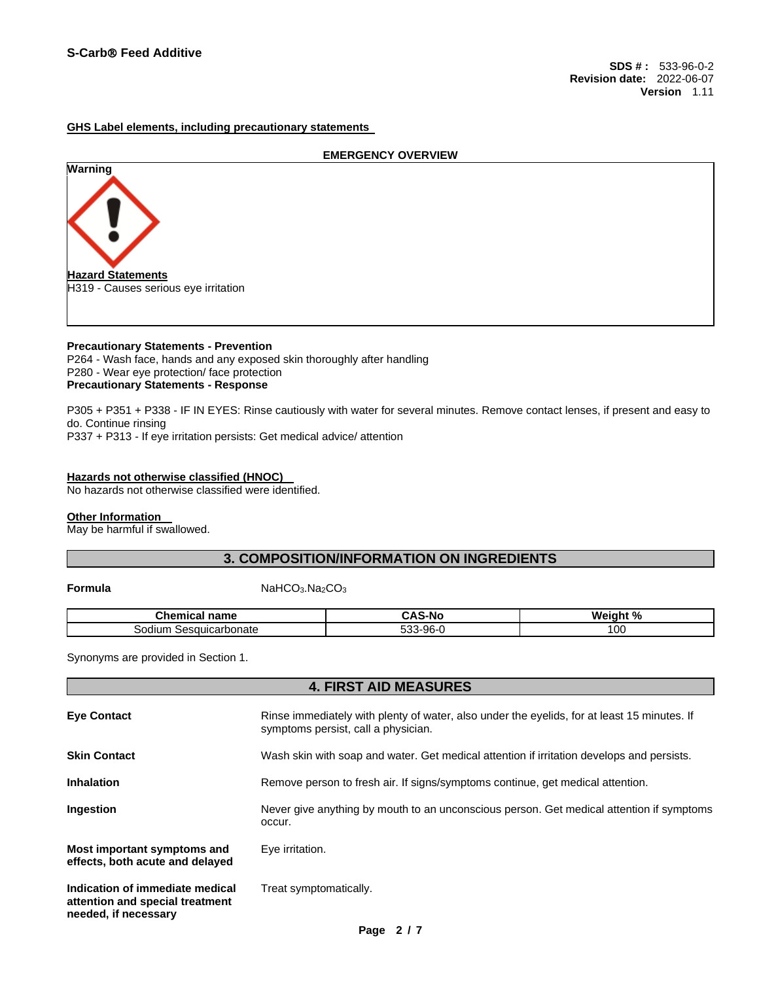#### **GHS Label elements, including precautionary statements**

# **EMERGENCY OVERVIEW Warning Hazard Statements** H319 - Causes serious eye irritation

#### **Precautionary Statements - Prevention** P264 - Wash face, hands and any exposed skin thoroughly after handling P280 - Wear eye protection/ face protection **Precautionary Statements - Response**

P305 + P351 + P338 - IF IN EYES: Rinse cautiously with water for several minutes. Remove contact lenses, if present and easy to do. Continue rinsing P337 + P313 - If eye irritation persists: Get medical advice/ attention

#### **Hazards not otherwise classified (HNOC)**

No hazards not otherwise classified were identified.

# **Other Information**

May be harmful if swallowed.

# **3. COMPOSITION/INFORMATION ON INGREDIENTS**

#### **Formula NaHCO<sub>3</sub>.Na<sub>2</sub>CO<sub>3</sub>**

| $\sim$ $\sim$ $\sim$ $\sim$ $\sim$<br>∍n⊾<br>name<br>11 L AI | -No                     | w.<br>04<br>-----<br>70 |
|--------------------------------------------------------------|-------------------------|-------------------------|
| carbonate<br>ur<br>sodium<br>יאר.                            | .QR.<br>.<br>ึงบ<br>, س | 100                     |

**4. FIRST AID MEASURES** 

Synonyms are provided in Section 1.

| <b>Eve Contact</b>                                                                         | Rinse immediately with plenty of water, also under the eyelids, for at least 15 minutes. If<br>symptoms persist, call a physician. |  |
|--------------------------------------------------------------------------------------------|------------------------------------------------------------------------------------------------------------------------------------|--|
| <b>Skin Contact</b>                                                                        | Wash skin with soap and water. Get medical attention if irritation develops and persists.                                          |  |
| <b>Inhalation</b>                                                                          | Remove person to fresh air. If signs/symptoms continue, get medical attention.                                                     |  |
| <b>Ingestion</b>                                                                           | Never give anything by mouth to an unconscious person. Get medical attention if symptoms<br>occur.                                 |  |
| Most important symptoms and<br>effects, both acute and delayed                             | Eye irritation.                                                                                                                    |  |
| Indication of immediate medical<br>attention and special treatment<br>needed, if necessary | Treat symptomatically.                                                                                                             |  |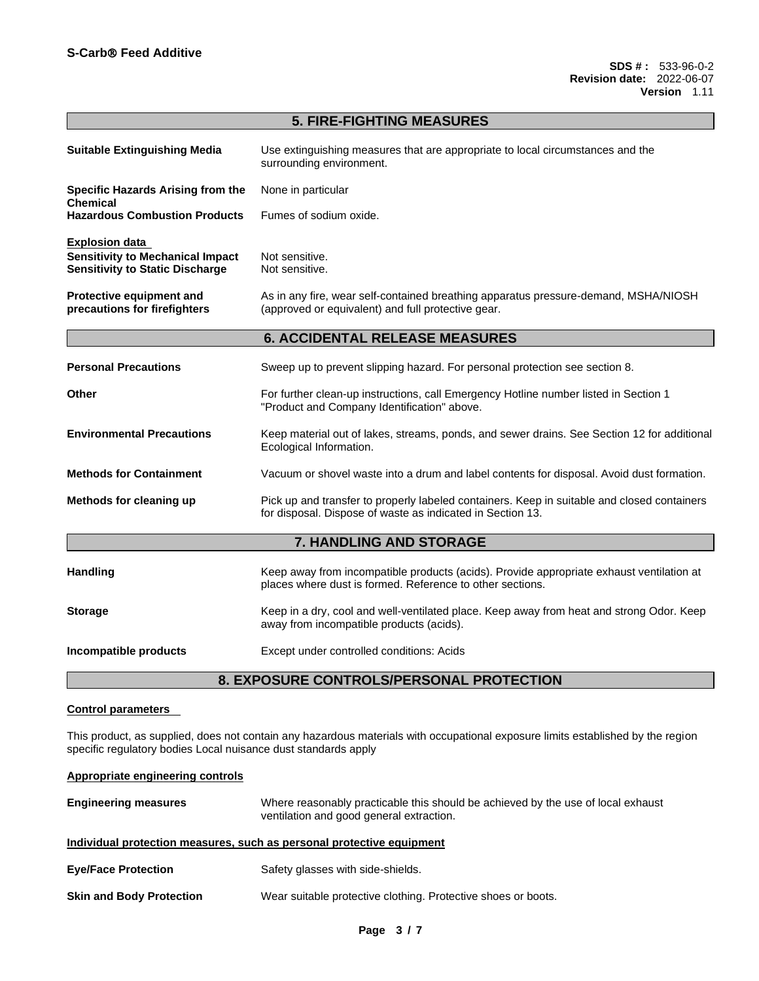| <b>5. FIRE-FIGHTING MEASURES</b>                                                                           |                                                                                                                                                           |  |
|------------------------------------------------------------------------------------------------------------|-----------------------------------------------------------------------------------------------------------------------------------------------------------|--|
| <b>Suitable Extinguishing Media</b>                                                                        | Use extinguishing measures that are appropriate to local circumstances and the<br>surrounding environment.                                                |  |
| Specific Hazards Arising from the<br>Chemical                                                              | None in particular                                                                                                                                        |  |
| <b>Hazardous Combustion Products</b>                                                                       | Fumes of sodium oxide.                                                                                                                                    |  |
| <b>Explosion data</b><br><b>Sensitivity to Mechanical Impact</b><br><b>Sensitivity to Static Discharge</b> | Not sensitive.<br>Not sensitive.                                                                                                                          |  |
| Protective equipment and<br>precautions for firefighters                                                   | As in any fire, wear self-contained breathing apparatus pressure-demand, MSHA/NIOSH<br>(approved or equivalent) and full protective gear.                 |  |
|                                                                                                            | <b>6. ACCIDENTAL RELEASE MEASURES</b>                                                                                                                     |  |
| <b>Personal Precautions</b>                                                                                | Sweep up to prevent slipping hazard. For personal protection see section 8.                                                                               |  |
| Other                                                                                                      | For further clean-up instructions, call Emergency Hotline number listed in Section 1<br>"Product and Company Identification" above.                       |  |
| <b>Environmental Precautions</b>                                                                           | Keep material out of lakes, streams, ponds, and sewer drains. See Section 12 for additional<br>Ecological Information.                                    |  |
| <b>Methods for Containment</b>                                                                             | Vacuum or shovel waste into a drum and label contents for disposal. Avoid dust formation.                                                                 |  |
| Methods for cleaning up                                                                                    | Pick up and transfer to properly labeled containers. Keep in suitable and closed containers<br>for disposal. Dispose of waste as indicated in Section 13. |  |
| <b>7. HANDLING AND STORAGE</b>                                                                             |                                                                                                                                                           |  |
| <b>Handling</b>                                                                                            | Keep away from incompatible products (acids). Provide appropriate exhaust ventilation at<br>places where dust is formed. Reference to other sections.     |  |
| <b>Storage</b>                                                                                             | Keep in a dry, cool and well-ventilated place. Keep away from heat and strong Odor. Keep<br>away from incompatible products (acids).                      |  |
| Incompatible products                                                                                      | Except under controlled conditions: Acids                                                                                                                 |  |

# **8. EXPOSURE CONTROLS/PERSONAL PROTECTION**

# **Control parameters**

This product, as supplied, does not contain any hazardous materials with occupational exposure limits established by the region specific regulatory bodies Local nuisance dust standards apply

# **Appropriate engineering controls**

| <b>Engineering measures</b>     | Where reasonably practicable this should be achieved by the use of local exhaust<br>ventilation and good general extraction. |
|---------------------------------|------------------------------------------------------------------------------------------------------------------------------|
|                                 | Individual protection measures, such as personal protective equipment                                                        |
| <b>Eye/Face Protection</b>      | Safety glasses with side-shields.                                                                                            |
| <b>Skin and Body Protection</b> | Wear suitable protective clothing. Protective shoes or boots.                                                                |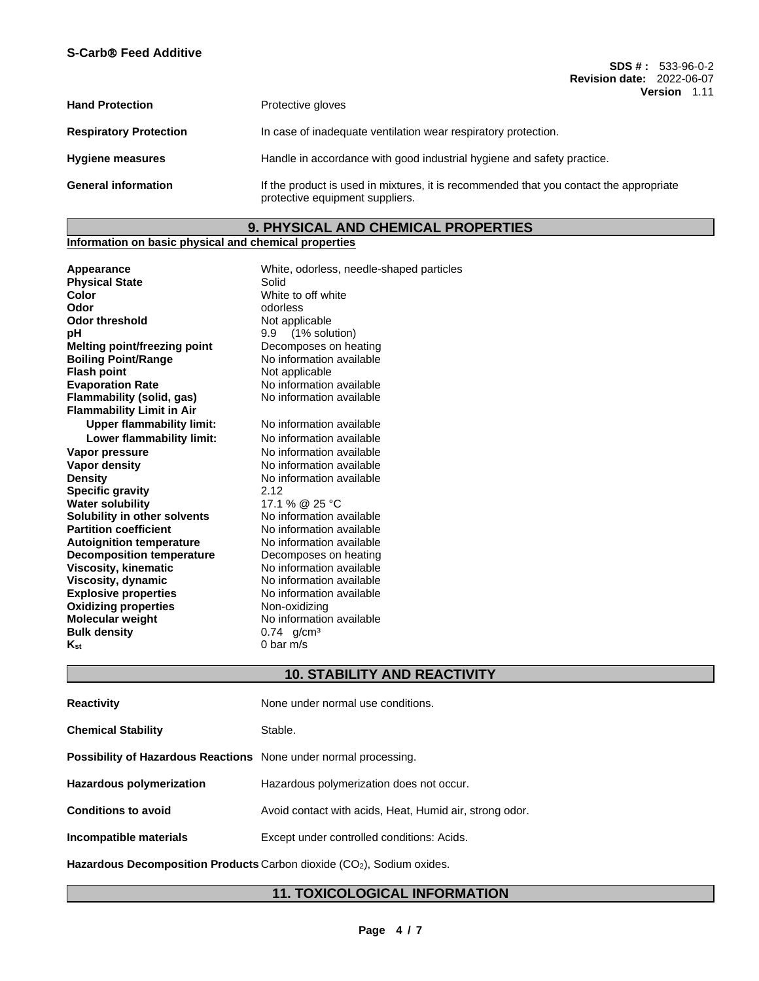**SDS # :** 533-96-0-2 **Revision date:** 2022-06-07 **Version** 1.11

| <b>Hand Protection</b>        | Protective gloves                                                                                                         |
|-------------------------------|---------------------------------------------------------------------------------------------------------------------------|
| <b>Respiratory Protection</b> | In case of inadequate ventilation wear respiratory protection.                                                            |
| <b>Hygiene measures</b>       | Handle in accordance with good industrial hygiene and safety practice.                                                    |
| <b>General information</b>    | If the product is used in mixtures, it is recommended that you contact the appropriate<br>protective equipment suppliers. |

# **9. PHYSICAL AND CHEMICAL PROPERTIES**

## **Information on basic physical and chemical properties**

| Appearance                       | White, odorless, needle-shaped particles |
|----------------------------------|------------------------------------------|
| <b>Physical State</b>            | Solid                                    |
| Color                            | White to off white                       |
| Odor                             | odorless                                 |
| Odor threshold                   | Not applicable                           |
| pН                               | 9.9 (1% solution)                        |
| Melting point/freezing point     | Decomposes on heating                    |
| <b>Boiling Point/Range</b>       | No information available                 |
| <b>Flash point</b>               | Not applicable                           |
| <b>Evaporation Rate</b>          | No information available                 |
| Flammability (solid, gas)        | No information available                 |
| <b>Flammability Limit in Air</b> |                                          |
| <b>Upper flammability limit:</b> | No information available                 |
| Lower flammability limit:        | No information available                 |
| Vapor pressure                   | No information available                 |
| <b>Vapor density</b>             | No information available                 |
| Density                          | No information available                 |
| <b>Specific gravity</b>          | 2.12                                     |
| <b>Water solubility</b>          | 17.1 % @ 25 °C                           |
| Solubility in other solvents     | No information available                 |
| <b>Partition coefficient</b>     | No information available                 |
| <b>Autoignition temperature</b>  | No information available                 |
| <b>Decomposition temperature</b> | Decomposes on heating                    |
| <b>Viscosity, kinematic</b>      | No information available                 |
| Viscosity, dynamic               | No information available                 |
| <b>Explosive properties</b>      | No information available                 |
| <b>Oxidizing properties</b>      | Non-oxidizing                            |
| <b>Molecular weight</b>          | No information available                 |
| <b>Bulk density</b>              | $0.74$ g/cm <sup>3</sup>                 |
| Kst                              | 0 bar $m/s$                              |
|                                  |                                          |

# **10. STABILITY AND REACTIVITY**

| <b>Reactivity</b>                                                       | None under normal use conditions.                       |
|-------------------------------------------------------------------------|---------------------------------------------------------|
| <b>Chemical Stability</b>                                               | Stable.                                                 |
| <b>Possibility of Hazardous Reactions</b> None under normal processing. |                                                         |
| <b>Hazardous polymerization</b>                                         | Hazardous polymerization does not occur.                |
| <b>Conditions to avoid</b>                                              | Avoid contact with acids, Heat, Humid air, strong odor. |
| Incompatible materials                                                  | Except under controlled conditions: Acids.              |
|                                                                         |                                                         |

Hazardous Decomposition Products Carbon dioxide (CO<sub>2</sub>), Sodium oxides.

# **11. TOXICOLOGICAL INFORMATION**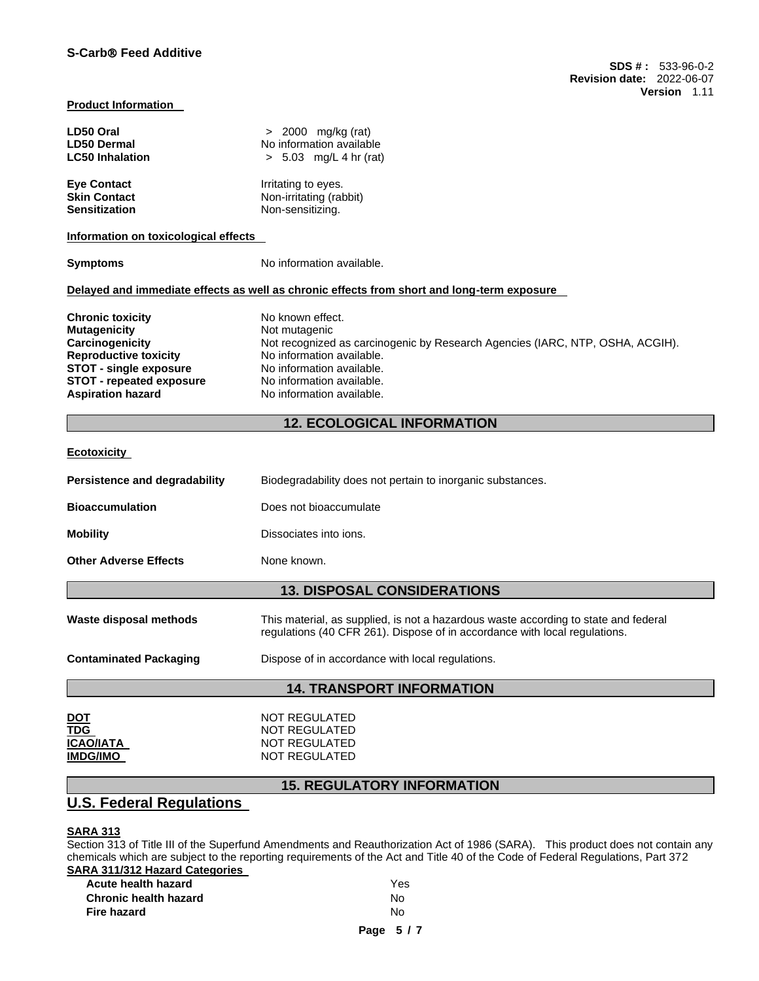#### **Product Information**

| LD50 Oral              | $> 2000$ mg/kg (rat)     |
|------------------------|--------------------------|
| <b>LD50 Dermal</b>     | No information available |
| <b>LC50 Inhalation</b> | $> 5.03$ mg/L 4 hr (rat) |
| <b>Eye Contact</b>     | Irritating to eyes.      |
| <b>Skin Contact</b>    | Non-irritating (rabbit)  |
| <b>Sensitization</b>   | Non-sensitizing.         |

**Information on toxicological effects** 

**Symptoms** No information available.

#### **Delayed and immediate effects as well as chronic effects from short and long-term exposure**

| <b>Chronic toxicity</b>         | No known effect.                                                              |
|---------------------------------|-------------------------------------------------------------------------------|
| <b>Mutagenicity</b>             | Not mutagenic                                                                 |
| Carcinogenicity                 | Not recognized as carcinogenic by Research Agencies (IARC, NTP, OSHA, ACGIH). |
| <b>Reproductive toxicity</b>    | No information available.                                                     |
| <b>STOT - single exposure</b>   | No information available.                                                     |
| <b>STOT - repeated exposure</b> | No information available.                                                     |
| <b>Aspiration hazard</b>        | No information available.                                                     |

# **12. ECOLOGICAL INFORMATION**

#### **Ecotoxicity**

| Persistence and degradability      | Biodegradability does not pertain to inorganic substances. |
|------------------------------------|------------------------------------------------------------|
| <b>Bioaccumulation</b>             | Does not bioaccumulate                                     |
| <b>Mobility</b>                    | Dissociates into ions.                                     |
| <b>Other Adverse Effects</b>       | None known.                                                |
| <b>13. DISPOSAL CONSIDERATIONS</b> |                                                            |
|                                    |                                                            |

**Waste disposal methods** This material, as supplied, is not a hazardous waste according to state and federal regulations (40 CFR 261). Dispose of in accordance with local regulations.

**Contaminated Packaging <b>Dispose** of in accordance with local regulations.

# **14. TRANSPORT INFORMATION**

| <u>DOT</u>       | NOT REGULATED |
|------------------|---------------|
| <b>TDG</b>       | NOT REGULATED |
| <b>ICAO/IATA</b> | NOT REGULATED |
| <b>IMDG/IMO</b>  | NOT REGULATED |

# **15. REGULATORY INFORMATION**

# **U.S. Federal Regulations**

# **SARA 313**

Section 313 of Title III of the Superfund Amendments and Reauthorization Act of 1986 (SARA). This product does not contain any chemicals which are subject to the reporting requirements of the Act and Title 40 of the Code of Federal Regulations, Part 372 **SARA 311/312 Hazard Categories** 

| Acute health hazard   | Yes |
|-----------------------|-----|
| Chronic health hazard | N٥  |
| Fire hazard           | N٥  |
|                       |     |

**Page 5 / 7**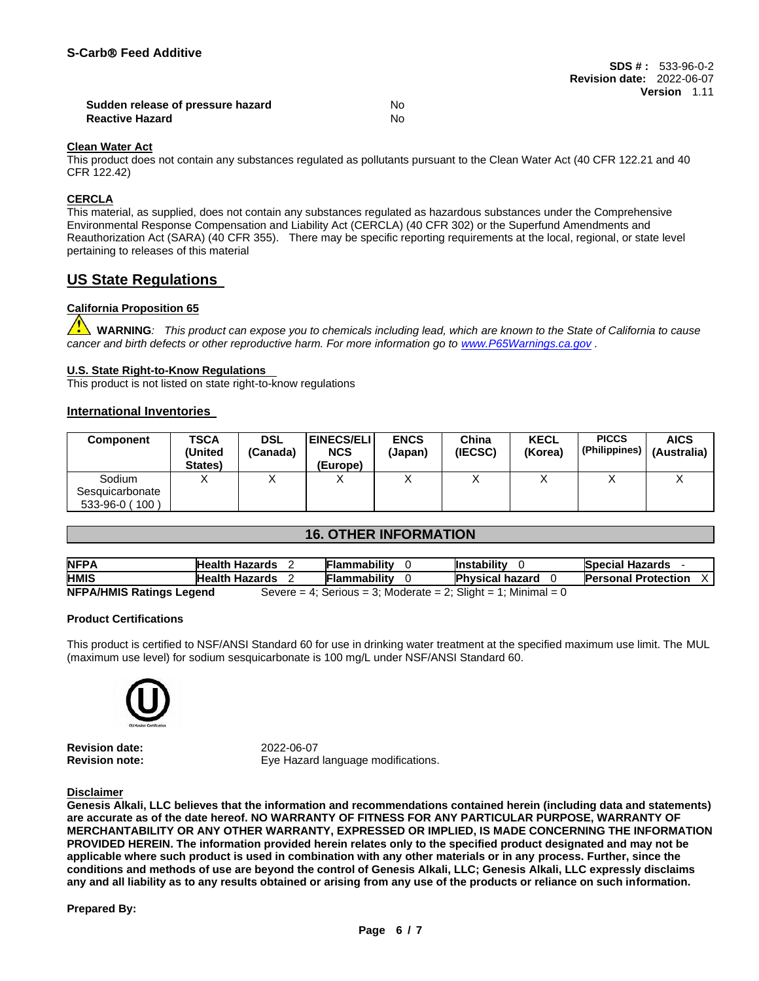| Sudden release of pressure hazard | N٥ |
|-----------------------------------|----|
| <b>Reactive Hazard</b>            | N٥ |

#### **Clean Water Act**

This product does not contain any substances regulated as pollutants pursuant to the Clean Water Act (40 CFR 122.21 and 40 CFR 122.42)

## **CERCLA**

This material, as supplied, does not contain any substances regulated as hazardous substances under the Comprehensive Environmental Response Compensation and Liability Act (CERCLA) (40 CFR 302) or the Superfund Amendments and Reauthorization Act (SARA) (40 CFR 355). There may be specific reporting requirements at the local, regional, or state level pertaining to releases of this material

# **US State Regulations**

# **California Proposition 65**

**WARNING***: This product can expose you to chemicals including lead, which are known to the State of California to cause cancer and birth defects or other reproductive harm. For more information go to [www.P65Warnings.ca.gov](http://www.p65warnings.ca.gov/) .*

# **U.S. State Right-to-Know Regulations**

This product is not listed on state right-to-know regulations

#### **International Inventories**

| <b>Component</b> | TSCA<br>(United<br>States) | <b>DSL</b><br>(Canada) | <b>EINECS/ELI</b> I<br><b>NCS</b><br>(Europe) | <b>ENCS</b><br>(Japan) | China<br>(IECSC) | <b>KECL</b><br>(Korea) | <b>PICCS</b><br>(Philippines) | <b>AICS</b><br>(Australia) |
|------------------|----------------------------|------------------------|-----------------------------------------------|------------------------|------------------|------------------------|-------------------------------|----------------------------|
| Sodium           |                            |                        |                                               |                        |                  |                        |                               |                            |
| Sesquicarbonate  |                            |                        |                                               |                        |                  |                        |                               |                            |
| 533-96-0 (100)   |                            |                        |                                               |                        |                  |                        |                               |                            |

# **16. OTHER INFORMATION**

| <b>NFPA</b>                                                                                       | <b>Health Hazards</b> |  | <b>Flammability</b> | <b>Instability</b>     | <b>Special Hazards</b>     |
|---------------------------------------------------------------------------------------------------|-----------------------|--|---------------------|------------------------|----------------------------|
| <b>HMIS</b>                                                                                       | <b>Health Hazards</b> |  | Flammability        | <b>Physical hazard</b> | <b>Personal Protection</b> |
| <b>NFPA/HMIS Ratings Legend</b><br>Severe = 4; Serious = 3; Moderate = 2; Slight = 1; Minimal = 0 |                       |  |                     |                        |                            |

#### **Product Certifications**

This product is certified to NSF/ANSI Standard 60 for use in drinking water treatment at the specified maximum use limit. The MUL (maximum use level) for sodium sesquicarbonate is 100 mg/L under NSF/ANSI Standard 60.



**Revision date:** 2022-06-07

**Revision note:** Eye Hazard language modifications.

### **Disclaimer**

**Genesis Alkali, LLC believes that the information and recommendations contained herein (including data and statements) are accurate as of the date hereof. NO WARRANTY OF FITNESS FOR ANY PARTICULAR PURPOSE, WARRANTY OF MERCHANTABILITY OR ANY OTHER WARRANTY, EXPRESSED OR IMPLIED, IS MADE CONCERNING THE INFORMATION PROVIDED HEREIN. The information provided herein relates only to the specified product designated and may not be applicable where such product is used in combination with any other materials or in any process. Further, since the conditions and methods of use are beyond the control of Genesis Alkali, LLC; Genesis Alkali, LLC expressly disclaims any and all liability as to any results obtained or arising from any use of the products or reliance on such information.** 

#### **Prepared By:**